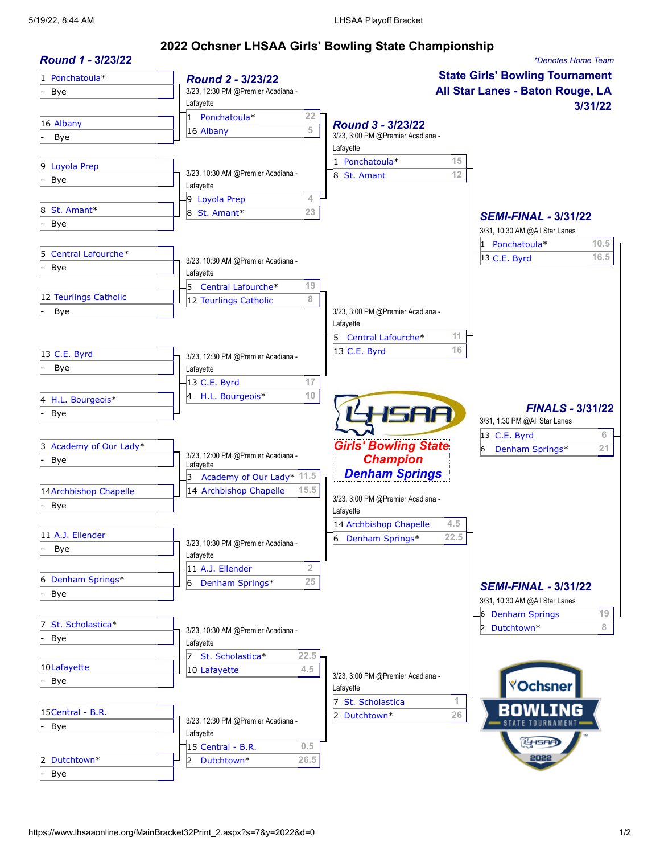## **2022 Ochsner LHSAA Girls' Bowling State Championship**

| Round 1 - 3/23/22       |                                                 |                                            | *Denotes Home Team               |  |
|-------------------------|-------------------------------------------------|--------------------------------------------|----------------------------------|--|
| 1 Ponchatoula*          | Round 2 - 3/23/22                               | <b>State Girls' Bowling Tournament</b>     |                                  |  |
| Bye                     | 3/23, 12:30 PM @Premier Acadiana -              |                                            | All Star Lanes - Baton Rouge, LA |  |
|                         | Lafayette                                       |                                            | 3/31/22                          |  |
| 16 Albany               | Ponchatoula*<br>22<br>1                         | Round 3 - 3/23/22                          |                                  |  |
| Bye                     | 5<br>16 Albany                                  | 3/23, 3:00 PM @Premier Acadiana -          |                                  |  |
|                         |                                                 | Lafayette                                  |                                  |  |
| 9 Loyola Prep           |                                                 | 1 Ponchatoula*<br>15                       |                                  |  |
| Bye                     | 3/23, 10:30 AM @Premier Acadiana -              | 12<br>8 St. Amant                          |                                  |  |
|                         | Lafayette<br>4                                  |                                            |                                  |  |
| St. Amant*<br>8         | 9 Loyola Prep<br>23                             |                                            |                                  |  |
| Bye                     | 8<br>St. Amant*                                 |                                            | <b>SEMI-FINAL - 3/31/22</b>      |  |
|                         |                                                 |                                            | 3/31, 10:30 AM @All Star Lanes   |  |
| Central Lafourche*<br>5 |                                                 |                                            | 1 Ponchatoula*<br>10.5           |  |
| Bye                     | 3/23, 10:30 AM @Premier Acadiana -              |                                            | 16.5<br>13 C.E. Byrd             |  |
|                         | Lafayette                                       |                                            |                                  |  |
| 12 Teurlings Catholic   | 5<br>19<br>Central Lafourche*                   |                                            |                                  |  |
| Bye                     | 8<br>12 Teurlings Catholic                      | 3/23, 3:00 PM @Premier Acadiana -          |                                  |  |
|                         |                                                 | Lafayette                                  |                                  |  |
|                         |                                                 | Central Lafourche*<br>11                   |                                  |  |
| 13 C.E. Byrd            |                                                 | 16<br>13 C.E. Byrd                         |                                  |  |
| Bye                     | 3/23, 12:30 PM @Premier Acadiana -              |                                            |                                  |  |
|                         | Lafayette<br>17<br>13 C.E. Byrd                 |                                            |                                  |  |
|                         | 10<br>H.L. Bourgeois*<br>14                     |                                            |                                  |  |
| 4 H.L. Bourgeois*       |                                                 |                                            | <b>FINALS - 3/31/22</b>          |  |
| Bye                     |                                                 | <b>ISAA</b>                                | 3/31, 1:30 PM @All Star Lanes    |  |
|                         |                                                 |                                            | $6\,$<br>13 C.E. Byrd            |  |
| 3 Academy of Our Lady*  |                                                 | <b>Girls' Bowling State</b>                | 21<br>6<br>Denham Springs*       |  |
| Bye                     | 3/23, 12:00 PM @Premier Acadiana -<br>Lafayette | <b>Champion</b>                            |                                  |  |
|                         | Academy of Our Lady* 11.5<br>3                  | <b>Denham Springs</b>                      |                                  |  |
| 14 Archbishop Chapelle  | 14 Archbishop Chapelle<br>15.5                  |                                            |                                  |  |
| Bye                     |                                                 | 3/23, 3:00 PM @Premier Acadiana -          |                                  |  |
|                         |                                                 | Lafayette<br>4.5<br>14 Archbishop Chapelle |                                  |  |
| 11 A.J. Ellender        |                                                 | 22.5                                       |                                  |  |
| Bye                     | 3/23, 10:30 PM @Premier Acadiana -              | 6 Denham Springs*                          |                                  |  |
|                         | Lafayette                                       |                                            |                                  |  |
| 6 Denham Springs*       | $\overline{2}$<br>11 A.J. Ellender              |                                            |                                  |  |
| Bye                     | 25<br>6<br>Denham Springs*                      |                                            | <b>SEMI-FINAL - 3/31/22</b>      |  |
|                         |                                                 |                                            | 3/31, 10:30 AM @All Star Lanes   |  |
|                         |                                                 |                                            | 19<br>6 Denham Springs           |  |
| St. Scholastica*        | 3/23, 10:30 AM @Premier Acadiana -              |                                            | 2 Dutchtown*<br>8                |  |
| <b>Bye</b>              | Lafayette                                       |                                            |                                  |  |
|                         | 22.5<br>St. Scholastica*                        |                                            |                                  |  |
| 10Lafayette             | 4.5<br>10 Lafayette                             | 3/23, 3:00 PM @Premier Acadiana -          |                                  |  |
| Bye                     |                                                 | Lafayette                                  | <b>VOchsner</b>                  |  |
|                         |                                                 | 1<br>St. Scholastica                       |                                  |  |
| 15 Central - B.R.       | 3/23, 12:30 PM @Premier Acadiana -              | 26<br>2 Dutchtown*                         |                                  |  |
| <b>Bye</b>              | Lafayette                                       |                                            |                                  |  |
|                         | 0.5<br>$15$ Central - B.R.                      |                                            | <b>L<sub>ISAF</sub></b>          |  |
| Dutchtown*              | 26.5<br>2<br>Dutchtown*                         |                                            | 2022                             |  |
| Bye                     |                                                 |                                            |                                  |  |
|                         |                                                 |                                            |                                  |  |